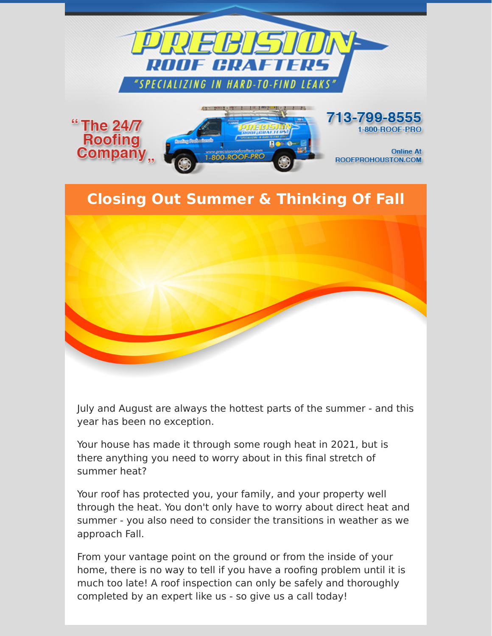



Your house has made it through some rough heat in 2021, but is there anything you need to worry about in this final stretch of summer heat?

Your roof has protected you, your family, and your property well through the heat. You don't only have to worry about direct heat and summer - you also need to consider the transitions in weather as we approach Fall.

From your vantage point on the ground or from the inside of your home, there is no way to tell if you have a roofing problem until it is much too late! A roof inspection can only be safely and thoroughly completed by an expert like us - so give us a call today!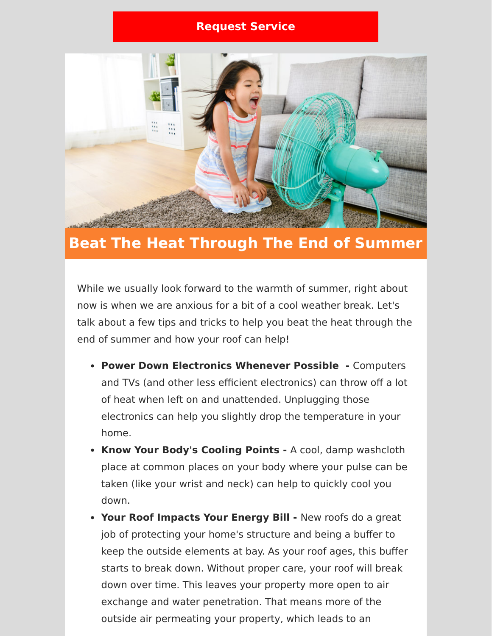## **[Request Service](https://www.precisionroofcrafters.com/contact-us.php)**



## **Beat The Heat Through The End of Summer**

While we usually look forward to the warmth of summer, right about now is when we are anxious for a bit of a cool weather break. Let's talk about a few tips and tricks to help you beat the heat through the end of summer and how your roof can help!

- **Power Down Electronics Whenever Possible** Computers and TVs (and other less efficient electronics) can throw off a lot of heat when left on and unattended. Unplugging those electronics can help you slightly drop the temperature in your home.
- **Know Your Body's Cooling Points** A cool, damp washcloth place at common places on your body where your pulse can be taken (like your wrist and neck) can help to quickly cool you down.
- **Your Roof Impacts Your Energy Bill** New roofs do a great job of protecting your home's structure and being a buffer to keep the outside elements at bay. As your roof ages, this buffer starts to break down. Without proper care, your roof will break down over time. This leaves your property more open to air exchange and water penetration. That means more of the outside air permeating your property, which leads to an